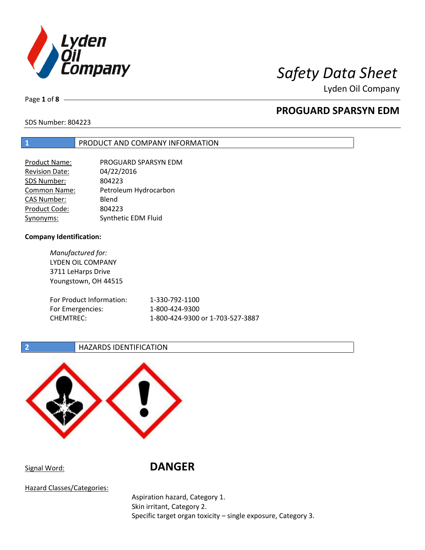

Page **1** of **8**

# **PROGUARD SPARSYN EDM**

SDS Number: 804223

### **1** PRODUCT AND COMPANY INFORMATION

| Product Name:         | PROGUARD SPARSYN EDM  |
|-----------------------|-----------------------|
| <b>Revision Date:</b> | 04/22/2016            |
| SDS Number:           | 804223                |
| <b>Common Name:</b>   | Petroleum Hydrocarbon |
| <b>CAS Number:</b>    | Blend                 |
| Product Code:         | 804223                |
| Synonyms:             | Synthetic EDM Fluid   |

### **Company Identification:**

*Manufactured for:* LYDEN OIL COMPANY 3711 LeHarps Drive Youngstown, OH 44515 For Product Information: 1-330-792-1100 For Emergencies: 1-800-424-9300 CHEMTREC: 1-800-424-9300 or 1-703-527-3887

### **2 HAZARDS IDENTIFICATION**



# Signal Word: **DANGER**

Hazard Classes/Categories:

Aspiration hazard, Category 1. Skin irritant, Category 2. Specific target organ toxicity – single exposure, Category 3.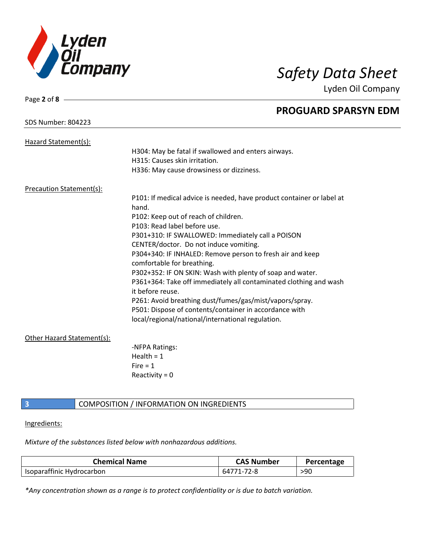

| Page 2 of $8 -$                 |                                                                       |
|---------------------------------|-----------------------------------------------------------------------|
|                                 | <b>PROGUARD SPARSYN EDM</b>                                           |
| <b>SDS Number: 804223</b>       |                                                                       |
| Hazard Statement(s):            |                                                                       |
|                                 | H304: May be fatal if swallowed and enters airways.                   |
|                                 | H315: Causes skin irritation.                                         |
|                                 | H336: May cause drowsiness or dizziness.                              |
| <b>Precaution Statement(s):</b> |                                                                       |
|                                 | P101: If medical advice is needed, have product container or label at |
|                                 | hand.                                                                 |
|                                 | P102: Keep out of reach of children.                                  |
|                                 | P103: Read label before use.                                          |
|                                 | P301+310: IF SWALLOWED: Immediately call a POISON                     |
|                                 | CENTER/doctor. Do not induce vomiting.                                |
|                                 | P304+340: IF INHALED: Remove person to fresh air and keep             |
|                                 | comfortable for breathing.                                            |
|                                 | P302+352: IF ON SKIN: Wash with plenty of soap and water.             |
|                                 | P361+364: Take off immediately all contaminated clothing and wash     |
|                                 | it before reuse.                                                      |
|                                 | P261: Avoid breathing dust/fumes/gas/mist/vapors/spray.               |
|                                 | P501: Dispose of contents/container in accordance with                |
|                                 | local/regional/national/international regulation.                     |
| Other Hazard Statement(s):      |                                                                       |
|                                 | -NFPA Ratings:                                                        |
|                                 | Health = $1$                                                          |
|                                 | Fire $= 1$                                                            |
|                                 | Reactivity = $0$                                                      |
|                                 |                                                                       |

# **3** COMPOSITION / INFORMATION ON INGREDIENTS

Ingredients:

*Mixture of the substances listed below with nonhazardous additions.*

| <b>Chemical Name</b>      | <b>CAS Number</b> | Percentage |
|---------------------------|-------------------|------------|
| Isoparaffinic Hydrocarbon | 64771-72-8        | >90        |

*\*Any concentration shown as a range is to protect confidentiality or is due to batch variation.*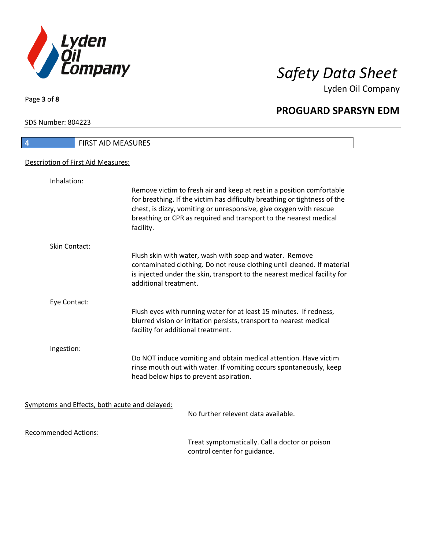

Lyden Oil Company

SDS Number: 804223

Page **3** of **8**

I

| 4                                  | FIRST AID MEASURES                                                                                                                                                                                                                                                                                         |  |
|------------------------------------|------------------------------------------------------------------------------------------------------------------------------------------------------------------------------------------------------------------------------------------------------------------------------------------------------------|--|
| Description of First Aid Measures: |                                                                                                                                                                                                                                                                                                            |  |
|                                    |                                                                                                                                                                                                                                                                                                            |  |
| Inhalation:                        |                                                                                                                                                                                                                                                                                                            |  |
|                                    | Remove victim to fresh air and keep at rest in a position comfortable<br>for breathing. If the victim has difficulty breathing or tightness of the<br>chest, is dizzy, vomiting or unresponsive, give oxygen with rescue<br>breathing or CPR as required and transport to the nearest medical<br>facility. |  |
| <b>Skin Contact:</b>               |                                                                                                                                                                                                                                                                                                            |  |
|                                    | Flush skin with water, wash with soap and water. Remove<br>contaminated clothing. Do not reuse clothing until cleaned. If material<br>is injected under the skin, transport to the nearest medical facility for<br>additional treatment.                                                                   |  |
| Eye Contact:                       |                                                                                                                                                                                                                                                                                                            |  |
|                                    | Flush eyes with running water for at least 15 minutes. If redness,<br>blurred vision or irritation persists, transport to nearest medical<br>facility for additional treatment.                                                                                                                            |  |
| Ingestion:                         |                                                                                                                                                                                                                                                                                                            |  |
|                                    | Do NOT induce vomiting and obtain medical attention. Have victim<br>rinse mouth out with water. If vomiting occurs spontaneously, keep<br>head below hips to prevent aspiration.                                                                                                                           |  |
|                                    |                                                                                                                                                                                                                                                                                                            |  |
|                                    | Symptoms and Effects, both acute and delayed:<br>No further relevent data available.                                                                                                                                                                                                                       |  |
|                                    |                                                                                                                                                                                                                                                                                                            |  |
| <b>Recommended Actions:</b>        |                                                                                                                                                                                                                                                                                                            |  |
|                                    | Treat symptomatically. Call a doctor or poison<br>control center for guidance.                                                                                                                                                                                                                             |  |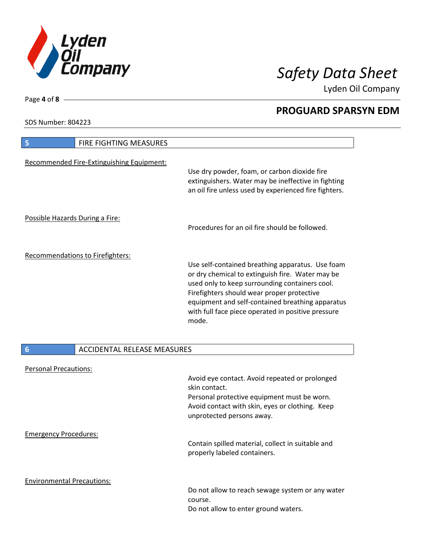

Lyden Oil Company

SDS Number: 804223

Page **4** of **8**

| <b>FIRE FIGHTING MEASURES</b><br>$\overline{\mathbf{5}}$ |                                                                                                                                                                                                                                                                                                                         |
|----------------------------------------------------------|-------------------------------------------------------------------------------------------------------------------------------------------------------------------------------------------------------------------------------------------------------------------------------------------------------------------------|
| Recommended Fire-Extinguishing Equipment:                | Use dry powder, foam, or carbon dioxide fire<br>extinguishers. Water may be ineffective in fighting<br>an oil fire unless used by experienced fire fighters.                                                                                                                                                            |
| Possible Hazards During a Fire:                          | Procedures for an oil fire should be followed.                                                                                                                                                                                                                                                                          |
| Recommendations to Firefighters:                         |                                                                                                                                                                                                                                                                                                                         |
|                                                          | Use self-contained breathing apparatus. Use foam<br>or dry chemical to extinguish fire. Water may be<br>used only to keep surrounding containers cool.<br>Firefighters should wear proper protective<br>equipment and self-contained breathing apparatus<br>with full face piece operated in positive pressure<br>mode. |
|                                                          |                                                                                                                                                                                                                                                                                                                         |
| 6<br><b>ACCIDENTAL RELEASE MEASURES</b>                  |                                                                                                                                                                                                                                                                                                                         |
| <b>Personal Precautions:</b>                             | Avoid eye contact. Avoid repeated or prolonged<br>skin contact.                                                                                                                                                                                                                                                         |
|                                                          | Personal protective equipment must be worn.<br>Avoid contact with skin, eyes or clothing. Keep<br>unprotected persons away.                                                                                                                                                                                             |
| <b>Emergency Procedures:</b>                             |                                                                                                                                                                                                                                                                                                                         |
|                                                          | Contain spilled material, collect in suitable and<br>properly labeled containers.                                                                                                                                                                                                                                       |
| <b>Environmental Precautions:</b>                        | Do not allow to reach sewage system or any water<br>course.<br>Do not allow to enter ground waters.                                                                                                                                                                                                                     |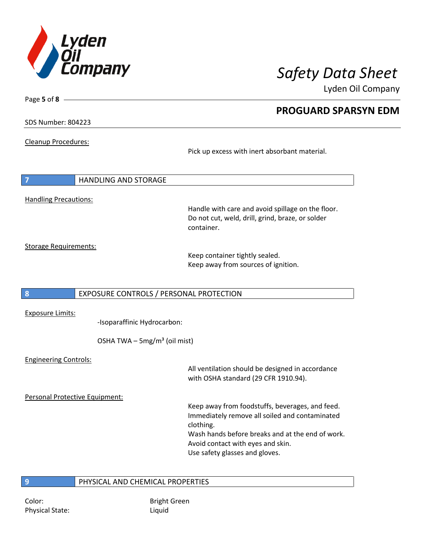

Lyden Oil Company

SDS Number: 804223

Page **5** of **8**

Cleanup Procedures:

Pick up excess with inert absorbant material.

| 7                            | <b>HANDLING AND STORAGE</b>                                                                                         |
|------------------------------|---------------------------------------------------------------------------------------------------------------------|
| <b>Handling Precautions:</b> | Handle with care and avoid spillage on the floor.<br>Do not cut, weld, drill, grind, braze, or solder<br>container. |
| <b>Storage Requirements:</b> | Keep container tightly sealed.<br>Keep away from sources of ignition.                                               |
| 8                            | EXPOSURE CONTROLS / PERSONAL PROTECTION                                                                             |
|                              |                                                                                                                     |

Exposure Limits:

-Isoparaffinic Hydrocarbon:

OSHA TWA  $-$  5mg/m<sup>3</sup> (oil mist)

Engineering Controls: All ventilation should be designed in accordance with OSHA standard (29 CFR 1910.94). Personal Protective Equipment: Keep away from foodstuffs, beverages, and feed. Immediately remove all soiled and contaminated clothing. Wash hands before breaks and at the end of work. Avoid contact with eyes and skin. Use safety glasses and gloves.

### **9** PHYSICAL AND CHEMICAL PROPERTIES

Physical State: Liquid

Color: Bright Green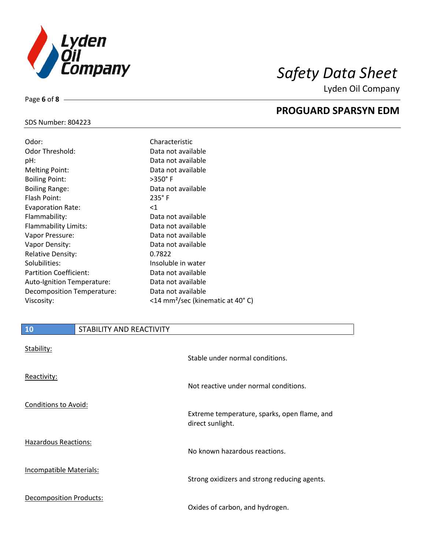

### SDS Number: 804223

Page **6** of **8**

| Odor:                         | Characteristic                               |
|-------------------------------|----------------------------------------------|
| Odor Threshold:               | Data not available                           |
| pH:                           | Data not available                           |
| <b>Melting Point:</b>         | Data not available                           |
| <b>Boiling Point:</b>         | $>350^\circ$ F                               |
| <b>Boiling Range:</b>         | Data not available                           |
| Flash Point:                  | $235^\circ$ F                                |
| <b>Evaporation Rate:</b>      | $<$ 1                                        |
| Flammability:                 | Data not available                           |
| <b>Flammability Limits:</b>   | Data not available                           |
| Vapor Pressure:               | Data not available                           |
| Vapor Density:                | Data not available                           |
| <b>Relative Density:</b>      | 0.7822                                       |
| Solubilities:                 | Insoluble in water                           |
| <b>Partition Coefficient:</b> | Data not available                           |
| Auto-Ignition Temperature:    | Data not available                           |
| Decomposition Temperature:    | Data not available                           |
| Viscosity:                    | <14 mm <sup>2</sup> /sec (kinematic at 40°C) |

| 10                             | STABILITY AND REACTIVITY |                                                                  |
|--------------------------------|--------------------------|------------------------------------------------------------------|
| Stability:                     |                          | Stable under normal conditions.                                  |
| Reactivity:                    |                          | Not reactive under normal conditions.                            |
| Conditions to Avoid:           |                          | Extreme temperature, sparks, open flame, and<br>direct sunlight. |
| Hazardous Reactions:           |                          | No known hazardous reactions.                                    |
| <b>Incompatible Materials:</b> |                          | Strong oxidizers and strong reducing agents.                     |
| Decomposition Products:        |                          | Oxides of carbon, and hydrogen.                                  |

## **PROGUARD SPARSYN EDM**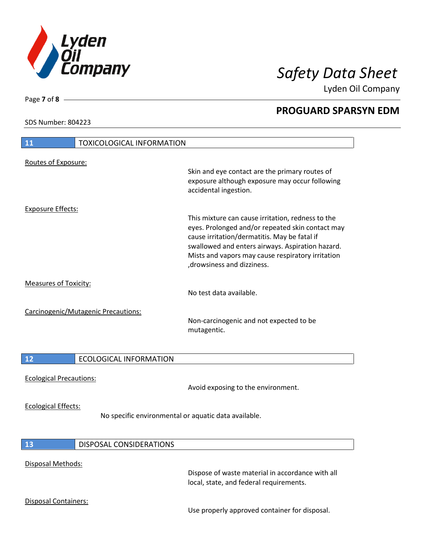

Lyden Oil Company

SDS Number: 804223

Page **7** of **8**

| <b>TOXICOLOGICAL INFORMATION</b><br><b>11</b>                                      |                                                                                                                                                                                                                                                                                               |
|------------------------------------------------------------------------------------|-----------------------------------------------------------------------------------------------------------------------------------------------------------------------------------------------------------------------------------------------------------------------------------------------|
| Routes of Exposure:                                                                | Skin and eye contact are the primary routes of<br>exposure although exposure may occur following<br>accidental ingestion.                                                                                                                                                                     |
| <b>Exposure Effects:</b>                                                           |                                                                                                                                                                                                                                                                                               |
|                                                                                    | This mixture can cause irritation, redness to the<br>eyes. Prolonged and/or repeated skin contact may<br>cause irritation/dermatitis. May be fatal if<br>swallowed and enters airways. Aspiration hazard.<br>Mists and vapors may cause respiratory irritation<br>, drowsiness and dizziness. |
| <b>Measures of Toxicity:</b>                                                       | No test data available.                                                                                                                                                                                                                                                                       |
| Carcinogenic/Mutagenic Precautions:                                                | Non-carcinogenic and not expected to be<br>mutagentic.                                                                                                                                                                                                                                        |
| 12<br><b>ECOLOGICAL INFORMATION</b>                                                |                                                                                                                                                                                                                                                                                               |
| <b>Ecological Precautions:</b>                                                     | Avoid exposing to the environment.                                                                                                                                                                                                                                                            |
| <b>Ecological Effects:</b><br>No specific environmental or aquatic data available. |                                                                                                                                                                                                                                                                                               |
| DISPOSAL CONSIDERATIONS<br>13                                                      |                                                                                                                                                                                                                                                                                               |
| Disposal Methods:                                                                  | Dispose of waste material in accordance with all<br>local, state, and federal requirements.                                                                                                                                                                                                   |
| <b>Disposal Containers:</b>                                                        | Use properly approved container for disposal.                                                                                                                                                                                                                                                 |